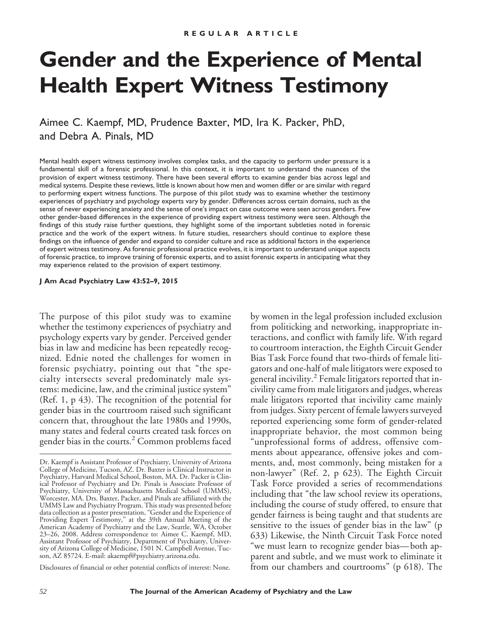# **Gender and the Experience of Mental Health Expert Witness Testimony**

Aimee C. Kaempf, MD, Prudence Baxter, MD, Ira K. Packer, PhD, and Debra A. Pinals, MD

Mental health expert witness testimony involves complex tasks, and the capacity to perform under pressure is a fundamental skill of a forensic professional. In this context, it is important to understand the nuances of the provision of expert witness testimony. There have been several efforts to examine gender bias across legal and medical systems. Despite these reviews, little is known about how men and women differ or are similar with regard to performing expert witness functions. The purpose of this pilot study was to examine whether the testimony experiences of psychiatry and psychology experts vary by gender. Differences across certain domains, such as the sense of never experiencing anxiety and the sense of one's impact on case outcome were seen across genders. Few other gender-based differences in the experience of providing expert witness testimony were seen. Although the findings of this study raise further questions, they highlight some of the important subtleties noted in forensic practice and the work of the expert witness. In future studies, researchers should continue to explore these findings on the influence of gender and expand to consider culture and race as additional factors in the experience of expert witness testimony. As forensic professional practice evolves, it is important to understand unique aspects of forensic practice, to improve training of forensic experts, and to assist forensic experts in anticipating what they may experience related to the provision of expert testimony.

#### **J Am Acad Psychiatry Law 43:52–9, 2015**

The purpose of this pilot study was to examine whether the testimony experiences of psychiatry and psychology experts vary by gender. Perceived gender bias in law and medicine has been repeatedly recognized. Ednie noted the challenges for women in forensic psychiatry, pointing out that "the specialty intersects several predominately male systems: medicine, law, and the criminal justice system" (Ref. 1, p 43). The recognition of the potential for gender bias in the courtroom raised such significant concern that, throughout the late 1980s and 1990s, many states and federal courts created task forces on gender bias in the courts.<sup>2</sup> Common problems faced

Disclosures of financial or other potential conflicts of interest: None.

by women in the legal profession included exclusion from politicking and networking, inappropriate interactions, and conflict with family life. With regard to courtroom interaction, the Eighth Circuit Gender Bias Task Force found that two-thirds of female litigators and one-half of male litigators were exposed to general incivility.<sup>2</sup> Female litigators reported that incivility came from male litigators and judges, whereas male litigators reported that incivility came mainly from judges. Sixty percent of female lawyers surveyed reported experiencing some form of gender-related inappropriate behavior, the most common being "unprofessional forms of address, offensive comments about appearance, offensive jokes and comments, and, most commonly, being mistaken for a non-lawyer" (Ref. 2, p 623). The Eighth Circuit Task Force provided a series of recommendations including that "the law school review its operations, including the course of study offered, to ensure that gender fairness is being taught and that students are sensitive to the issues of gender bias in the law" (p 633) Likewise, the Ninth Circuit Task Force noted "we must learn to recognize gender bias— both apparent and subtle, and we must work to eliminate it from our chambers and courtrooms" (p 618). The

Dr. Kaempf is Assistant Professor of Psychiatry, University of Arizona College of Medicine, Tucson, AZ. Dr. Baxter is Clinical Instructor in Psychiatry, Harvard Medical School, Boston, MA. Dr. Packer is Clinical Professor of Psychiatry and Dr. Pinals is Associate Professor of Psychiatry, University of Massachusetts Medical School (UMMS), Worcester, MA. Drs. Baxter, Packer, and Pinals are affiliated with the UMMS Law and Psychiatry Program. This study was presented before data collection as a poster presentation, "Gender and the Experience of Providing Expert Testimony," at the 39th Annual Meeting of the American Academy of Psychiatry and the Law, Seattle, WA, October 23–26, 2008. Address correspondence to: Aimee C. Kaempf, MD, Assistant Professor of Psychiatry, Department of Psychiatry, University of Arizona College of Medicine, 1501 N. Campbell Avenue, Tucson, AZ 85724. E-mail: akaempf@psychiatry.arizona.edu.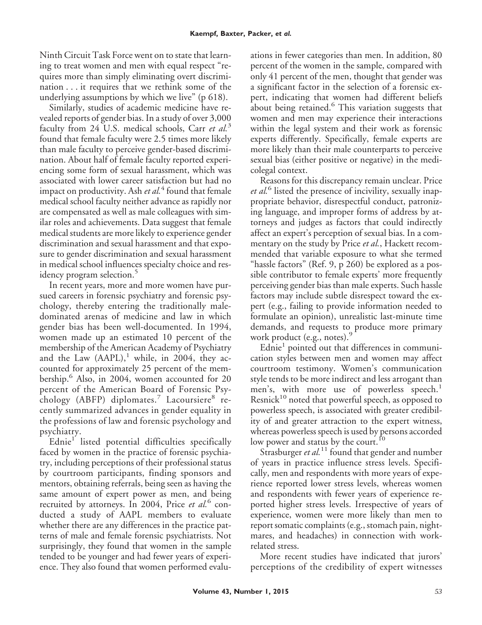Ninth Circuit Task Force went on to state that learning to treat women and men with equal respect "requires more than simply eliminating overt discrimination . . . it requires that we rethink some of the underlying assumptions by which we live" (p 618).

Similarly, studies of academic medicine have revealed reports of gender bias. In a study of over 3,000 faculty from 24 U.S. medical schools, Carr *et al.*<sup>3</sup> found that female faculty were 2.5 times more likely than male faculty to perceive gender-based discrimination. About half of female faculty reported experiencing some form of sexual harassment, which was associated with lower career satisfaction but had no impact on productivity. Ash *et al.*<sup>4</sup> found that female medical school faculty neither advance as rapidly nor are compensated as well as male colleagues with similar roles and achievements. Data suggest that female medical students are more likely to experience gender discrimination and sexual harassment and that exposure to gender discrimination and sexual harassment in medical school influences specialty choice and residency program selection.<sup>5</sup>

In recent years, more and more women have pursued careers in forensic psychiatry and forensic psychology, thereby entering the traditionally maledominated arenas of medicine and law in which gender bias has been well-documented. In 1994, women made up an estimated 10 percent of the membership of the American Academy of Psychiatry and the Law  $(AAPL)$ ,<sup>1</sup> while, in 2004, they accounted for approximately 25 percent of the membership.<sup>6</sup> Also, in 2004, women accounted for 20 percent of the American Board of Forensic Psychology (ABFP) diplomates.<sup>7</sup> Lacoursiere<sup>8</sup> recently summarized advances in gender equality in the professions of law and forensic psychology and psychiatry.

Ednie<sup>1</sup> listed potential difficulties specifically faced by women in the practice of forensic psychiatry, including perceptions of their professional status by courtroom participants, finding sponsors and mentors, obtaining referrals, being seen as having the same amount of expert power as men, and being recruited by attorneys. In 2004, Price *et al.*<sup>6</sup> conducted a study of AAPL members to evaluate whether there are any differences in the practice patterns of male and female forensic psychiatrists. Not surprisingly, they found that women in the sample tended to be younger and had fewer years of experience. They also found that women performed evalu-

ations in fewer categories than men. In addition, 80 percent of the women in the sample, compared with only 41 percent of the men, thought that gender was a significant factor in the selection of a forensic expert, indicating that women had different beliefs about being retained.<sup>6</sup> This variation suggests that women and men may experience their interactions within the legal system and their work as forensic experts differently. Specifically, female experts are more likely than their male counterparts to perceive sexual bias (either positive or negative) in the medicolegal context.

Reasons for this discrepancy remain unclear. Price *et al.*<sup>6</sup> listed the presence of incivility, sexually inappropriate behavior, disrespectful conduct, patronizing language, and improper forms of address by attorneys and judges as factors that could indirectly affect an expert's perception of sexual bias. In a commentary on the study by Price *et al.*, Hackett recommended that variable exposure to what she termed "hassle factors" (Ref. 9, p 260) be explored as a possible contributor to female experts' more frequently perceiving gender bias than male experts. Such hassle factors may include subtle disrespect toward the expert (e.g., failing to provide information needed to formulate an opinion), unrealistic last-minute time demands, and requests to produce more primary work product (e.g., notes).<sup>9</sup>

Ednie<sup>1</sup> pointed out that differences in communication styles between men and women may affect courtroom testimony. Women's communication style tends to be more indirect and less arrogant than men's, with more use of powerless speech.<sup>1</sup> Resnick<sup>10</sup> noted that powerful speech, as opposed to powerless speech, is associated with greater credibility of and greater attraction to the expert witness, whereas powerless speech is used by persons accorded low power and status by the court.<sup>10</sup>

Strasburger *et al*.<sup>11</sup> found that gender and number of years in practice influence stress levels. Specifically, men and respondents with more years of experience reported lower stress levels, whereas women and respondents with fewer years of experience reported higher stress levels. Irrespective of years of experience, women were more likely than men to report somatic complaints (e.g., stomach pain, nightmares, and headaches) in connection with workrelated stress.

More recent studies have indicated that jurors' perceptions of the credibility of expert witnesses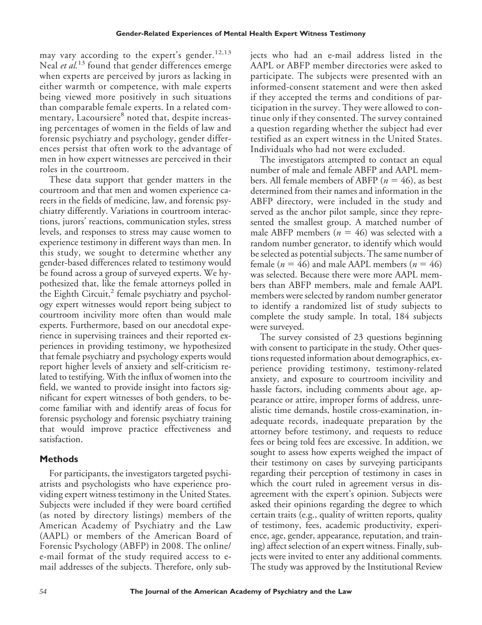may vary according to the expert's gender.<sup>12,13</sup> Neal *et al.*<sup>13</sup> found that gender differences emerge when experts are perceived by jurors as lacking in either warmth or competence, with male experts being viewed more positively in such situations than comparable female experts. In a related commentary, Lacoursiere<sup>8</sup> noted that, despite increasing percentages of women in the fields of law and forensic psychiatry and psychology, gender differences persist that often work to the advantage of men in how expert witnesses are perceived in their roles in the courtroom.

These data support that gender matters in the courtroom and that men and women experience careers in the fields of medicine, law, and forensic psychiatry differently. Variations in courtroom interactions, jurors' reactions, communication styles, stress levels, and responses to stress may cause women to experience testimony in different ways than men. In this study, we sought to determine whether any gender-based differences related to testimony would be found across a group of surveyed experts. We hypothesized that, like the female attorneys polled in the Eighth Circuit, $^2$  female psychiatry and psychology expert witnesses would report being subject to courtroom incivility more often than would male experts. Furthermore, based on our anecdotal experience in supervising trainees and their reported experiences in providing testimony, we hypothesized that female psychiatry and psychology experts would report higher levels of anxiety and self-criticism related to testifying. With the influx of women into the field, we wanted to provide insight into factors significant for expert witnesses of both genders, to become familiar with and identify areas of focus for forensic psychology and forensic psychiatry training that would improve practice effectiveness and satisfaction.

## **Methods**

For participants, the investigators targeted psychiatrists and psychologists who have experience providing expert witness testimony in the United States. Subjects were included if they were board certified (as noted by directory listings) members of the American Academy of Psychiatry and the Law (AAPL) or members of the American Board of Forensic Psychology (ABFP) in 2008. The online/ e-mail format of the study required access to email addresses of the subjects. Therefore, only subjects who had an e-mail address listed in the AAPL or ABFP member directories were asked to participate. The subjects were presented with an informed-consent statement and were then asked if they accepted the terms and conditions of participation in the survey. They were allowed to continue only if they consented. The survey contained a question regarding whether the subject had ever testified as an expert witness in the United States. Individuals who had not were excluded.

The investigators attempted to contact an equal number of male and female ABFP and AAPL members. All female members of ABFP  $(n = 46)$ , as best determined from their names and information in the ABFP directory, were included in the study and served as the anchor pilot sample, since they represented the smallest group. A matched number of male ABFP members  $(n = 46)$  was selected with a random number generator, to identify which would be selected as potential subjects. The same number of female ( $n = 46$ ) and male AAPL members ( $n = 46$ ) was selected. Because there were more AAPL members than ABFP members, male and female AAPL members were selected by random number generator to identify a randomized list of study subjects to complete the study sample. In total, 184 subjects were surveyed.

The survey consisted of 23 questions beginning with consent to participate in the study. Other questions requested information about demographics, experience providing testimony, testimony-related anxiety, and exposure to courtroom incivility and hassle factors, including comments about age, appearance or attire, improper forms of address, unrealistic time demands, hostile cross-examination, inadequate records, inadequate preparation by the attorney before testimony, and requests to reduce fees or being told fees are excessive. In addition, we sought to assess how experts weighed the impact of their testimony on cases by surveying participants regarding their perception of testimony in cases in which the court ruled in agreement versus in disagreement with the expert's opinion. Subjects were asked their opinions regarding the degree to which certain traits (e.g., quality of written reports, quality of testimony, fees, academic productivity, experience, age, gender, appearance, reputation, and training) affect selection of an expert witness. Finally, subjects were invited to enter any additional comments. The study was approved by the Institutional Review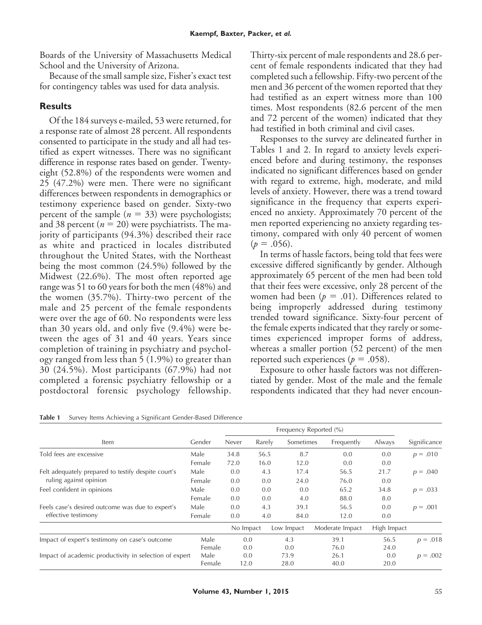Boards of the University of Massachusetts Medical School and the University of Arizona.

Because of the small sample size, Fisher's exact test for contingency tables was used for data analysis.

### **Results**

Of the 184 surveys e-mailed, 53 were returned, for a response rate of almost 28 percent. All respondents consented to participate in the study and all had testified as expert witnesses. There was no significant difference in response rates based on gender. Twentyeight (52.8%) of the respondents were women and 25 (47.2%) were men. There were no significant differences between respondents in demographics or testimony experience based on gender. Sixty-two percent of the sample  $(n = 33)$  were psychologists; and 38 percent ( $n = 20$ ) were psychiatrists. The majority of participants (94.3%) described their race as white and practiced in locales distributed throughout the United States, with the Northeast being the most common (24.5%) followed by the Midwest (22.6%). The most often reported age range was 51 to 60 years for both the men (48%) and the women (35.7%). Thirty-two percent of the male and 25 percent of the female respondents were over the age of 60. No respondents were less than 30 years old, and only five (9.4%) were between the ages of 31 and 40 years. Years since completion of training in psychiatry and psychology ranged from less than 5 (1.9%) to greater than 30 (24.5%). Most participants (67.9%) had not completed a forensic psychiatry fellowship or a postdoctoral forensic psychology fellowship.

Thirty-six percent of male respondents and 28.6 percent of female respondents indicated that they had completed such a fellowship. Fifty-two percent of the men and 36 percent of the women reported that they had testified as an expert witness more than 100 times. Most respondents (82.6 percent of the men and 72 percent of the women) indicated that they had testified in both criminal and civil cases.

Responses to the survey are delineated further in Tables 1 and 2. In regard to anxiety levels experienced before and during testimony, the responses indicated no significant differences based on gender with regard to extreme, high, moderate, and mild levels of anxiety. However, there was a trend toward significance in the frequency that experts experienced no anxiety. Approximately 70 percent of the men reported experiencing no anxiety regarding testimony, compared with only 40 percent of women  $(p = .056)$ .

In terms of hassle factors, being told that fees were excessive differed significantly by gender. Although approximately 65 percent of the men had been told that their fees were excessive, only 28 percent of the women had been ( $p = .01$ ). Differences related to being improperly addressed during testimony trended toward significance. Sixty-four percent of the female experts indicated that they rarely or sometimes experienced improper forms of address, whereas a smaller portion (52 percent) of the men reported such experiences ( $p = .058$ ).

Exposure to other hassle factors was not differentiated by gender. Most of the male and the female respondents indicated that they had never encoun-

| Item                                                   | Gender | Never     | Rarely | Sometimes  | Frequently      | Always      | Significance |
|--------------------------------------------------------|--------|-----------|--------|------------|-----------------|-------------|--------------|
| Told fees are excessive                                | Male   | 34.8      | 56.5   | 8.7        | 0.0             | 0.0         | $p = .010$   |
|                                                        | Female | 72.0      | 16.0   | 12.0       | 0.0             | 0.0         |              |
| Felt adequately prepared to testify despite court's    | Male   | 0.0       | 4.3    | 17.4       | 56.5            | 21.7        | $p = .040$   |
| ruling against opinion                                 | Female | 0.0       | 0.0    | 24.0       | 76.0            | 0.0         |              |
| Feel confident in opinions                             | Male   | 0.0       | 0.0    | 0.0        | 65.2            | 34.8        | $p = .033$   |
|                                                        | Female | 0.0       | 0.0    | 4.0        | 88.0            | 8.0         |              |
| Feels case's desired outcome was due to expert's       | Male   | 0.0       | 4.3    | 39.1       | 56.5            | 0.0         | $p = .001$   |
| effective testimony                                    | Female | 0.0       | 4.0    | 84.0       | 12.0            | 0.0         |              |
|                                                        |        | No Impact |        | Low Impact | Moderate Impact | High Impact |              |
| Impact of expert's testimony on case's outcome         | Male   | 0.0       |        | 4.3        | 39.1            | 56.5        | $p = .018$   |
|                                                        | Female | 0.0       |        | 0.0        | 76.0            | 24.0        |              |
| Impact of academic productivity in selection of expert | Male   | 0.0       |        | 73.9       | 26.1            | 0.0         | $p = .002$   |
|                                                        | Female | 12.0      |        | 28.0       | 40.0            | 20.0        |              |

|  | Table 1 Survey Items Achieving a Significant Gender-Based Difference |
|--|----------------------------------------------------------------------|
|--|----------------------------------------------------------------------|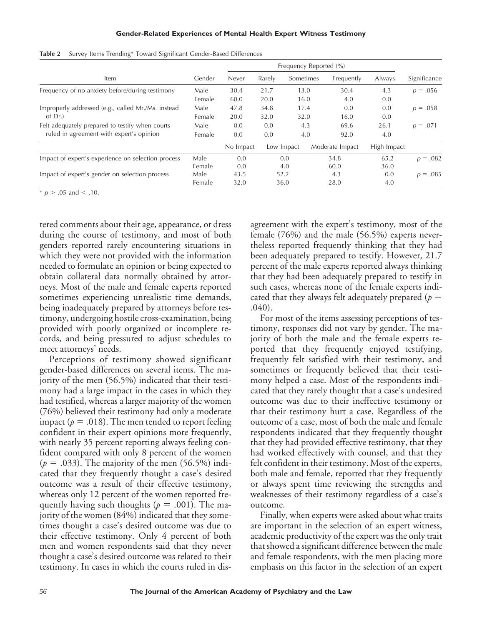| Item                                               | Gender | Never     | Rarely | Sometimes  | Frequently      | Always      | Significance |
|----------------------------------------------------|--------|-----------|--------|------------|-----------------|-------------|--------------|
| Frequency of no anxiety before/during testimony    | Male   | 30.4      | 21.7   | 13.0       | 30.4            | 4.3         | $p = .056$   |
|                                                    | Female | 60.0      | 20.0   | 16.0       | 4.0             | 0.0         |              |
| Improperly addressed (e.g., called Mr./Ms. instead | Male   | 47.8      | 34.8   | 17.4       | 0.0             | 0.0         | $p = .058$   |
| of Dr.                                             | Female | 20.0      | 32.0   | 32.0       | 16.0            | 0.0         |              |
| Felt adequately prepared to testify when courts    | Male   | 0.0       | 0.0    | 4.3        | 69.6            | 26.1        | $p = .071$   |
| ruled in agreement with expert's opinion           | Female | 0.0       | 0.0    | 4.0        | 92.0            | 4.0         |              |
|                                                    |        | No Impact |        | Low Impact | Moderate Impact | High Impact |              |
| Impact of expert's experience on selection process | Male   | 0.0       |        | 0.0        | 34.8            | 65.2        | $p = .082$   |
|                                                    | Female | 0.0       |        | 4.0        | 60.0            | 36.0        |              |
| Impact of expert's gender on selection process     | Male   | 43.5      |        | 52.2       | 4.3             | 0.0         | $p = .085$   |
|                                                    | Female | 32.0      |        | 36.0       | 28.0            | 4.0         |              |

**Table 2** Survey Items Trending\* Toward Significant Gender-Based Differences

 $\frac{1}{2}$  *p* > .05 and < .10.

tered comments about their age, appearance, or dress during the course of testimony, and most of both genders reported rarely encountering situations in which they were not provided with the information needed to formulate an opinion or being expected to obtain collateral data normally obtained by attorneys. Most of the male and female experts reported sometimes experiencing unrealistic time demands, being inadequately prepared by attorneys before testimony, undergoing hostile cross-examination, being provided with poorly organized or incomplete records, and being pressured to adjust schedules to meet attorneys' needs.

Perceptions of testimony showed significant gender-based differences on several items. The majority of the men (56.5%) indicated that their testimony had a large impact in the cases in which they had testified, whereas a larger majority of the women (76%) believed their testimony had only a moderate impact ( $p = .018$ ). The men tended to report feeling confident in their expert opinions more frequently, with nearly 35 percent reporting always feeling confident compared with only 8 percent of the women  $(p = .033)$ . The majority of the men (56.5%) indicated that they frequently thought a case's desired outcome was a result of their effective testimony, whereas only 12 percent of the women reported frequently having such thoughts ( $p = .001$ ). The majority of the women (84%) indicated that they sometimes thought a case's desired outcome was due to their effective testimony. Only 4 percent of both men and women respondents said that they never thought a case's desired outcome was related to their testimony. In cases in which the courts ruled in disagreement with the expert's testimony, most of the female (76%) and the male (56.5%) experts nevertheless reported frequently thinking that they had been adequately prepared to testify. However, 21.7 percent of the male experts reported always thinking that they had been adequately prepared to testify in such cases, whereas none of the female experts indicated that they always felt adequately prepared ( $p =$ .040).

For most of the items assessing perceptions of testimony, responses did not vary by gender. The majority of both the male and the female experts reported that they frequently enjoyed testifying, frequently felt satisfied with their testimony, and sometimes or frequently believed that their testimony helped a case. Most of the respondents indicated that they rarely thought that a case's undesired outcome was due to their ineffective testimony or that their testimony hurt a case. Regardless of the outcome of a case, most of both the male and female respondents indicated that they frequently thought that they had provided effective testimony, that they had worked effectively with counsel, and that they felt confident in their testimony. Most of the experts, both male and female, reported that they frequently or always spent time reviewing the strengths and weaknesses of their testimony regardless of a case's outcome.

Finally, when experts were asked about what traits are important in the selection of an expert witness, academic productivity of the expert was the only trait that showed a significant difference between the male and female respondents, with the men placing more emphasis on this factor in the selection of an expert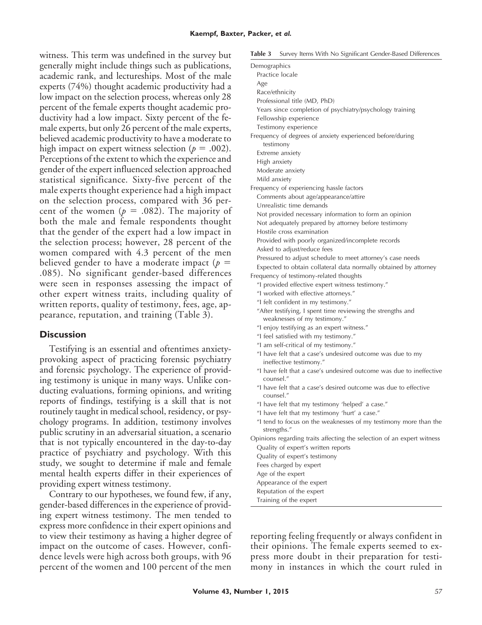witness. This term was undefined in the survey but generally might include things such as publications, academic rank, and lectureships. Most of the male experts (74%) thought academic productivity had a low impact on the selection process, whereas only 28 percent of the female experts thought academic productivity had a low impact. Sixty percent of the female experts, but only 26 percent of the male experts, believed academic productivity to have a moderate to high impact on expert witness selection ( $p = .002$ ). Perceptions of the extent to which the experience and gender of the expert influenced selection approached statistical significance. Sixty-five percent of the male experts thought experience had a high impact on the selection process, compared with 36 percent of the women ( $p = .082$ ). The majority of both the male and female respondents thought that the gender of the expert had a low impact in the selection process; however, 28 percent of the women compared with 4.3 percent of the men believed gender to have a moderate impact ( $p =$ .085). No significant gender-based differences were seen in responses assessing the impact of other expert witness traits, including quality of written reports, quality of testimony, fees, age, appearance, reputation, and training (Table 3).

#### **Discussion**

Testifying is an essential and oftentimes anxietyprovoking aspect of practicing forensic psychiatry and forensic psychology. The experience of providing testimony is unique in many ways. Unlike conducting evaluations, forming opinions, and writing reports of findings, testifying is a skill that is not routinely taught in medical school, residency, or psychology programs. In addition, testimony involves public scrutiny in an adversarial situation, a scenario that is not typically encountered in the day-to-day practice of psychiatry and psychology. With this study, we sought to determine if male and female mental health experts differ in their experiences of providing expert witness testimony.

Contrary to our hypotheses, we found few, if any, gender-based differences in the experience of providing expert witness testimony. The men tended to express more confidence in their expert opinions and to view their testimony as having a higher degree of impact on the outcome of cases. However, confidence levels were high across both groups, with 96 percent of the women and 100 percent of the men

|  |  |  |  | <b>Table 3</b> Survey Items With No Significant Gender-Based Differences |  |
|--|--|--|--|--------------------------------------------------------------------------|--|
|--|--|--|--|--------------------------------------------------------------------------|--|

| ravie o        | survey nerus vitar two significant Genuer-Based Differences                           |
|----------------|---------------------------------------------------------------------------------------|
| Demographics   |                                                                                       |
|                | Practice locale                                                                       |
| Age            |                                                                                       |
| Race/ethnicity |                                                                                       |
|                | Professional title (MD, PhD)                                                          |
|                | Years since completion of psychiatry/psychology training                              |
|                | Fellowship experience                                                                 |
|                | Testimony experience                                                                  |
|                | Frequency of degrees of anxiety experienced before/during<br>testimony                |
|                | Extreme anxiety                                                                       |
| High anxiety   |                                                                                       |
|                | Moderate anxiety                                                                      |
| Mild anxiety   |                                                                                       |
|                | Frequency of experiencing hassle factors                                              |
|                | Comments about age/appearance/attire                                                  |
|                | Unrealistic time demands                                                              |
|                | Not provided necessary information to form an opinion                                 |
|                | Not adequately prepared by attorney before testimony                                  |
|                | Hostile cross examination                                                             |
|                | Provided with poorly organized/incomplete records                                     |
|                | Asked to adjust/reduce fees                                                           |
|                | Pressured to adjust schedule to meet attorney's case needs                            |
|                | Expected to obtain collateral data normally obtained by attorney                      |
|                | Frequency of testimony-related thoughts                                               |
|                | "I provided effective expert witness testimony."                                      |
|                | "I worked with effective attorneys."                                                  |
|                | "I felt confident in my testimony."                                                   |
|                | "After testifying, I spent time reviewing the strengths and                           |
|                | weaknesses of my testimony."                                                          |
|                | "I enjoy testifying as an expert witness."                                            |
|                | "I feel satisfied with my testimony."                                                 |
|                | "I am self-critical of my testimony."                                                 |
|                | "I have felt that a case's undesired outcome was due to my<br>ineffective testimony." |
| counsel."      | "I have felt that a case's undesired outcome was due to ineffective                   |
| counsel."      | "I have felt that a case's desired outcome was due to effective                       |
|                | "I have felt that my testimony 'helped' a case."                                      |
|                | "I have felt that my testimony 'hurt' a case."                                        |
|                | "I tend to focus on the weaknesses of my testimony more than the<br>strengths."       |
|                | Opinions regarding traits affecting the selection of an expert witness                |
|                | Quality of expert's written reports                                                   |
|                | Quality of expert's testimony                                                         |
|                | Fees charged by expert                                                                |
|                | Age of the expert                                                                     |
|                | Appearance of the expert                                                              |
|                |                                                                                       |
|                | Reputation of the expert<br>Training of the expert                                    |

reporting feeling frequently or always confident in their opinions. The female experts seemed to express more doubt in their preparation for testimony in instances in which the court ruled in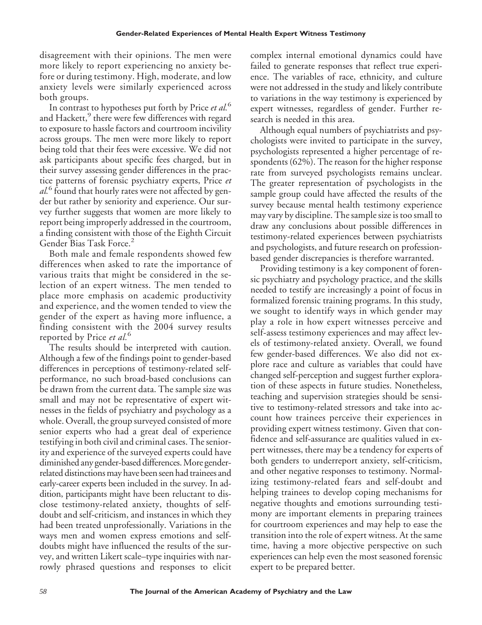disagreement with their opinions. The men were more likely to report experiencing no anxiety before or during testimony. High, moderate, and low anxiety levels were similarly experienced across both groups.

In contrast to hypotheses put forth by Price *et al.*<sup>6</sup> and Hackett,<sup>9</sup> there were few differences with regard to exposure to hassle factors and courtroom incivility across groups. The men were more likely to report being told that their fees were excessive. We did not ask participants about specific fees charged, but in their survey assessing gender differences in the practice patterns of forensic psychiatry experts, Price *et al.*<sup>6</sup> found that hourly rates were not affected by gender but rather by seniority and experience. Our survey further suggests that women are more likely to report being improperly addressed in the courtroom, a finding consistent with those of the Eighth Circuit Gender Bias Task Force.<sup>2</sup>

Both male and female respondents showed few differences when asked to rate the importance of various traits that might be considered in the selection of an expert witness. The men tended to place more emphasis on academic productivity and experience, and the women tended to view the gender of the expert as having more influence, a finding consistent with the 2004 survey results reported by Price *et al.*<sup>6</sup>

The results should be interpreted with caution. Although a few of the findings point to gender-based differences in perceptions of testimony-related selfperformance, no such broad-based conclusions can be drawn from the current data. The sample size was small and may not be representative of expert witnesses in the fields of psychiatry and psychology as a whole. Overall, the group surveyed consisted of more senior experts who had a great deal of experience testifying in both civil and criminal cases. The seniority and experience of the surveyed experts could have diminished any gender-based differences.More genderrelated distinctions may have been seen had trainees and early-career experts been included in the survey. In addition, participants might have been reluctant to disclose testimony-related anxiety, thoughts of selfdoubt and self-criticism, and instances in which they had been treated unprofessionally. Variations in the ways men and women express emotions and selfdoubts might have influenced the results of the survey, and written Likert scale–type inquiries with narrowly phrased questions and responses to elicit complex internal emotional dynamics could have failed to generate responses that reflect true experience. The variables of race, ethnicity, and culture were not addressed in the study and likely contribute to variations in the way testimony is experienced by expert witnesses, regardless of gender. Further research is needed in this area.

Although equal numbers of psychiatrists and psychologists were invited to participate in the survey, psychologists represented a higher percentage of respondents (62%). The reason for the higher response rate from surveyed psychologists remains unclear. The greater representation of psychologists in the sample group could have affected the results of the survey because mental health testimony experience may vary by discipline. The sample size is too small to draw any conclusions about possible differences in testimony-related experiences between psychiatrists and psychologists, and future research on professionbased gender discrepancies is therefore warranted.

Providing testimony is a key component of forensic psychiatry and psychology practice, and the skills needed to testify are increasingly a point of focus in formalized forensic training programs. In this study, we sought to identify ways in which gender may play a role in how expert witnesses perceive and self-assess testimony experiences and may affect levels of testimony-related anxiety. Overall, we found few gender-based differences. We also did not explore race and culture as variables that could have changed self-perception and suggest further exploration of these aspects in future studies. Nonetheless, teaching and supervision strategies should be sensitive to testimony-related stressors and take into account how trainees perceive their experiences in providing expert witness testimony. Given that confidence and self-assurance are qualities valued in expert witnesses, there may be a tendency for experts of both genders to underreport anxiety, self-criticism, and other negative responses to testimony. Normalizing testimony-related fears and self-doubt and helping trainees to develop coping mechanisms for negative thoughts and emotions surrounding testimony are important elements in preparing trainees for courtroom experiences and may help to ease the transition into the role of expert witness. At the same time, having a more objective perspective on such experiences can help even the most seasoned forensic expert to be prepared better.